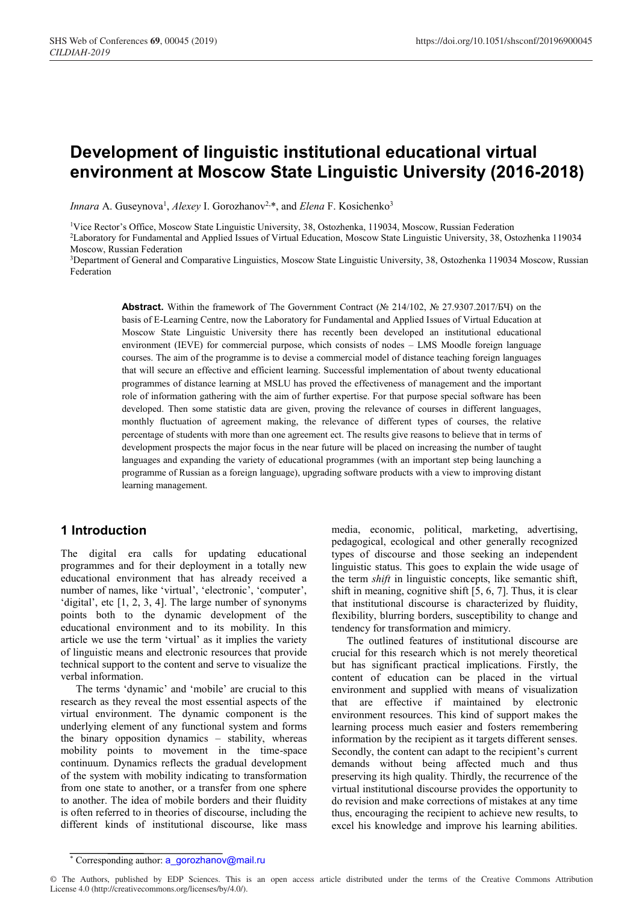# **Development of linguistic institutional educational virtual environment at Moscow State Linguistic University (2016-2018)**

Innara A. Guseynova<sup>1</sup>, *Alexey* I. Gorozhanov<sup>2,\*</sup>, and *Elena* F. Kosichenko<sup>3</sup>

<sup>1</sup>Vice Rector's Office, Moscow State Linguistic University, 38, Ostozhenka, 119034, Moscow, Russian Federation

2Laboratory for Fundamental and Applied Issues of Virtual Education, Moscow State Linguistic University, 38, Ostozhenka 119034 Moscow, Russian Federation

3Department of General and Comparative Linguistics, Moscow State Linguistic University, 38, Ostozhenka 119034 Moscow, Russian Federation

**Abstract.** Within the framework of The Government Contract (№ 214/102, № 27.9307.2017/БЧ) on the basis of E-Learning Centre, now the Laboratory for Fundamental and Applied Issues of Virtual Education at Moscow State Linguistic University there has recently been developed an institutional educational environment (IEVE) for commercial purpose, which consists of nodes – LMS Moodle foreign language courses. The aim of the programme is to devise a commercial model of distance teaching foreign languages that will secure an effective and efficient learning. Successful implementation of about twenty educational programmes of distance learning at MSLU has proved the effectiveness of management and the important role of information gathering with the aim of further expertise. For that purpose special software has been developed. Then some statistic data are given, proving the relevance of courses in different languages, monthly fluctuation of agreement making, the relevance of different types of courses, the relative percentage of students with more than one agreement ect. The results give reasons to believe that in terms of development prospects the major focus in the near future will be placed on increasing the number of taught languages and expanding the variety of educational programmes (with an important step being launching a programme of Russian as a foreign language), upgrading software products with a view to improving distant learning management.

### **1 Introduction**

The digital era calls for updating educational programmes and for their deployment in a totally new educational environment that has already received a number of names, like 'virtual', 'electronic', 'computer', 'digital', etc [1, 2, 3, 4]. The large number of synonyms points both to the dynamic development of the educational environment and to its mobility. In this article we use the term 'virtual' as it implies the variety of linguistic means and electronic resources that provide technical support to the content and serve to visualize the verbal information.

The terms 'dynamic' and 'mobile' are crucial to this research as they reveal the most essential aspects of the virtual environment. The dynamic component is the underlying element of any functional system and forms the binary opposition dynamics – stability, whereas mobility points to movement in the time-space continuum. Dynamics reflects the gradual development of the system with mobility indicating to transformation from one state to another, or a transfer from one sphere to another. The idea of mobile borders and their fluidity is often referred to in theories of discourse, including the different kinds of institutional discourse, like mass

media, economic, political, marketing, advertising, pedagogical, ecological and other generally recognized types of discourse and those seeking an independent linguistic status. This goes to explain the wide usage of the term *shift* in linguistic concepts, like semantic shift, shift in meaning, cognitive shift [5, 6, 7]. Thus, it is clear that institutional discourse is characterized by fluidity, flexibility, blurring borders, susceptibility to change and tendency for transformation and mimicry.

The outlined features of institutional discourse are crucial for this research which is not merely theoretical but has significant practical implications. Firstly, the content of education can be placed in the virtual environment and supplied with means of visualization that are effective if maintained by electronic environment resources. This kind of support makes the learning process much easier and fosters remembering information by the recipient as it targets different senses. Secondly, the content can adapt to the recipient's current demands without being affected much and thus preserving its high quality. Thirdly, the recurrence of the virtual institutional discourse provides the opportunity to do revision and make corrections of mistakes at any time thus, encouraging the recipient to achieve new results, to excel his knowledge and improve his learning abilities.

<sup>\*</sup> Corresponding author: a\_gorozhanov@mail.ru

<sup>©</sup> The Authors, published by EDP Sciences. This is an open access article distributed under the terms of the Creative Commons Attribution License 4.0 (http://creativecommons.org/licenses/by/4.0/).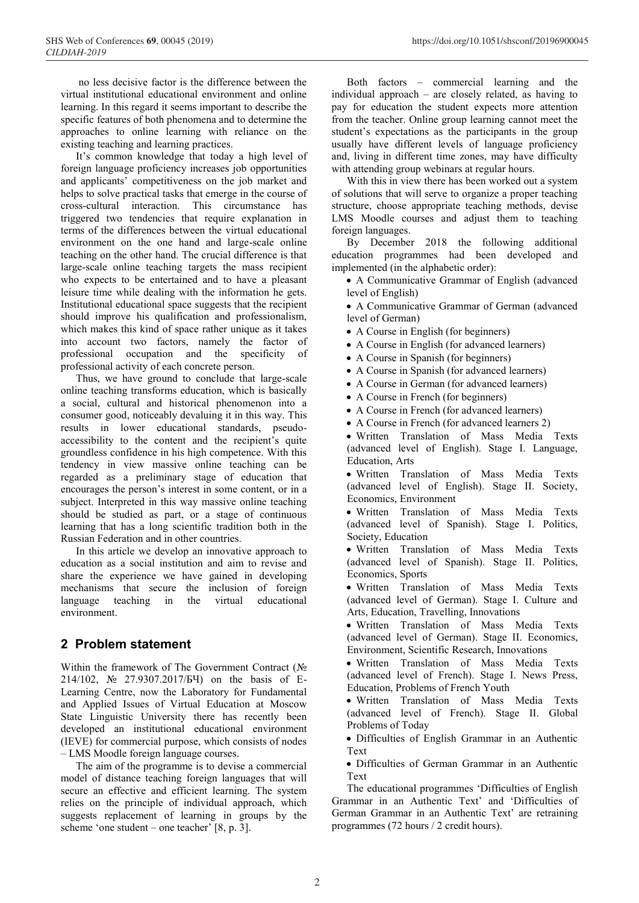no less decisive factor is the difference between the virtual institutional educational environment and online learning. In this regard it seems important to describe the specific features of both phenomena and to determine the approaches to online learning with reliance on the existing teaching and learning practices.

It's common knowledge that today a high level of foreign language proficiency increases job opportunities and applicants' competitiveness on the job market and helps to solve practical tasks that emerge in the course of cross-cultural interaction. This circumstance has triggered two tendencies that require explanation in terms of the differences between the virtual educational environment on the one hand and large-scale online teaching on the other hand. The crucial difference is that large-scale online teaching targets the mass recipient who expects to be entertained and to have a pleasant leisure time while dealing with the information he gets. Institutional educational space suggests that the recipient should improve his qualification and professionalism, which makes this kind of space rather unique as it takes into account two factors, namely the factor of professional occupation and the specificity of professional activity of each concrete person.

Thus, we have ground to conclude that large-scale online teaching transforms education, which is basically a social, cultural and historical phenomenon into a consumer good, noticeably devaluing it in this way. This results in lower educational standards, pseudoaccessibility to the content and the recipient's quite groundless confidence in his high competence. With this tendency in view massive online teaching can be regarded as a preliminary stage of education that encourages the person's interest in some content, or in a subject. Interpreted in this way massive online teaching should be studied as part, or a stage of continuous learning that has a long scientific tradition both in the Russian Federation and in other countries.

In this article we develop an innovative approach to education as a social institution and aim to revise and share the experience we have gained in developing mechanisms that secure the inclusion of foreign language teaching in the virtual educational environment.

## **2 Problem statement**

Within the framework of The Government Contract ( $N<sub>2</sub>$ 214/102, Nº 27.9307.2017/БЧ) on the basis of E-Learning Centre, now the Laboratory for Fundamental and Applied Issues of Virtual Education at Moscow State Linguistic University there has recently been developed an institutional educational environment (IEVE) for commercial purpose, which consists of nodes – LMS Moodle foreign language courses.

The aim of the programme is to devise a commercial model of distance teaching foreign languages that will secure an effective and efficient learning. The system relies on the principle of individual approach, which suggests replacement of learning in groups by the scheme 'one student – one teacher'  $[8, p. 3]$ .

Both factors – commercial learning and the individual approach – are closely related, as having to pay for education the student expects more attention from the teacher. Online group learning cannot meet the student's expectations as the participants in the group usually have different levels of language proficiency and, living in different time zones, may have difficulty with attending group webinars at regular hours.

With this in view there has been worked out a system of solutions that will serve to organize a proper teaching structure, choose appropriate teaching methods, devise LMS Moodle courses and adjust them to teaching foreign languages.

By December 2018 the following additional education programmes had been developed and implemented (in the alphabetic order):

 A Communicative Grammar of English (advanced level of English)

 A Communicative Grammar of German (advanced level of German)

- A Course in English (for beginners)
- A Course in English (for advanced learners)
- A Course in Spanish (for beginners)
- A Course in Spanish (for advanced learners)
- A Course in German (for advanced learners)
- A Course in French (for beginners)
- A Course in French (for advanced learners)
- A Course in French (for advanced learners 2)

 Written Translation of Mass Media Texts (advanced level of English). Stage I. Language, Education, Arts

 Written Translation of Mass Media Texts (advanced level of English). Stage II. Society, Economics, Environment

 Written Translation of Mass Media Texts (advanced level of Spanish). Stage I. Politics, Society, Education

 Written Translation of Mass Media Texts (advanced level of Spanish). Stage II. Politics, Economics, Sports

 Written Translation of Mass Media Texts (advanced level of German). Stage I. Culture and Arts, Education, Travelling, Innovations

 Written Translation of Mass Media Texts (advanced level of German). Stage II. Economics, Environment, Scientific Research, Innovations

 Written Translation of Mass Media Texts (advanced level of French). Stage I. News Press, Education, Problems of French Youth

 Written Translation of Mass Media Texts (advanced level of French). Stage II. Global Problems of Today

 Difficulties of English Grammar in an Authentic Text

 Difficulties of German Grammar in an Authentic Text

The educational programmes 'Difficulties of English Grammar in an Authentic Text' and 'Difficulties of German Grammar in an Authentic Text' are retraining programmes (72 hours / 2 credit hours).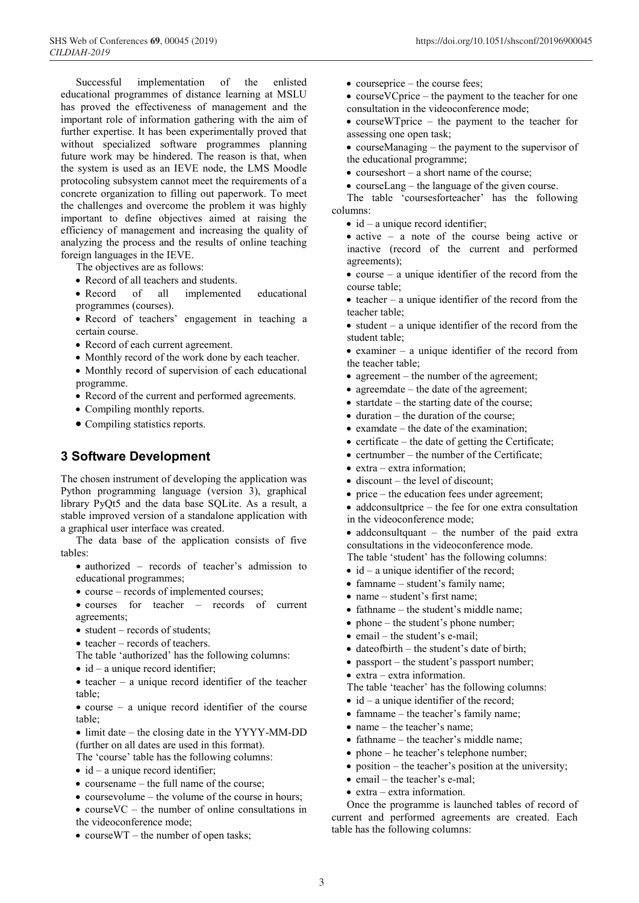Successful implementation of the enlisted educational programmes of distance learning at MSLU has proved the effectiveness of management and the important role of information gathering with the aim of further expertise. It has been experimentally proved that without specialized software programmes planning future work may be hindered. The reason is that, when the system is used as an IEVE node, the LMS Moodle protocoling subsystem cannot meet the requirements of a concrete organization to filling out paperwork. To meet the challenges and overcome the problem it was highly important to define objectives aimed at raising the efficiency of management and increasing the quality of analyzing the process and the results of online teaching foreign languages in the IEVE.

The objectives are as follows:

- Record of all teachers and students.
- Record of all implemented educational programmes (courses).
- Record of teachers' engagement in teaching a certain course.
- Record of each current agreement.
- Monthly record of the work done by each teacher.
- Monthly record of supervision of each educational
- programme.
- Record of the current and performed agreements.
- Compiling monthly reports.
- Compiling statistics reports.

#### **3 Software Development**

The chosen instrument of developing the application was Python programming language (version 3), graphical library PyQt5 and the data base SQLite. As a result, a stable improved version of a standalone application with a graphical user interface was created.

The data base of the application consists of five tables:

- authorized records of teacher's admission to educational programmes;
- course records of implemented courses;
- courses for teacher records of current agreements;
- student records of students;
- $\bullet$  teacher records of teachers.
- The table 'authorized' has the following columns:
- $\bullet$  id a unique record identifier;
- $\bullet$  teacher a unique record identifier of the teacher table;
- $\bullet$  course a unique record identifier of the course table;
- limit date the closing date in the YYYY-MM-DD (further on all dates are used in this format).

The 'course' table has the following columns:

- $\bullet$  id a unique record identifier;
- $\bullet$  coursename the full name of the course;
- $\bullet$  coursevolume the volume of the course in hours;
- course VC the number of online consultations in the videoconference mode;
- course WT the number of open tasks;
- courseprice the course fees;
- course VC price the payment to the teacher for one consultation in the videoconference mode;
- courseWTprice the payment to the teacher for assessing one open task;
- courseManaging the payment to the supervisor of the educational programme;
- $\bullet$  courseshort a short name of the course;
- courseLang the language of the given course.

The table 'coursesforteacher' has the following columns:

- $\bullet$  id a unique record identifier;
- active a note of the course being active or inactive (record of the current and performed agreements);
- $\bullet$  course a unique identifier of the record from the course table;
- $\bullet$  teacher a unique identifier of the record from the teacher table;
- $\bullet$  student a unique identifier of the record from the student table;
- examiner a unique identifier of the record from the teacher table;
- agreement the number of the agreement;
- agreemdate the date of the agreement;
- startdate the starting date of the course;
- $\bullet$  duration the duration of the course;
- $\bullet$  examplate the date of the examination;
- certificate the date of getting the Certificate;
- $\bullet$  certnumber the number of the Certificate:
- $\bullet$  extra extra information;
- $\bullet$  discount the level of discount;
- $\bullet$  price the education fees under agreement;
- addconsultprice the fee for one extra consultation in the videoconference mode;
- addconsultquant the number of the paid extra consultations in the videoconference mode.
- The table 'student' has the following columns:
- $\bullet$  id a unique identifier of the record;
- famname student's family name;
- name student's first name:
- fathname the student's middle name;
- $\bullet$  phone the student's phone number;
- email the student's e-mail;
- $\bullet$  date of birth the student's date of birth;
- passport the student's passport number;
- extra extra information.
- The table 'teacher' has the following columns:
- $\bullet$  id a unique identifier of the record;
- famname the teacher's family name;
- name the teacher's name;
- fathname the teacher's middle name;
- phone he teacher's telephone number;
- position the teacher's position at the university;
- email the teacher's e-mal:
- extra extra information.

Once the programme is launched tables of record of current and performed agreements are created. Each table has the following columns: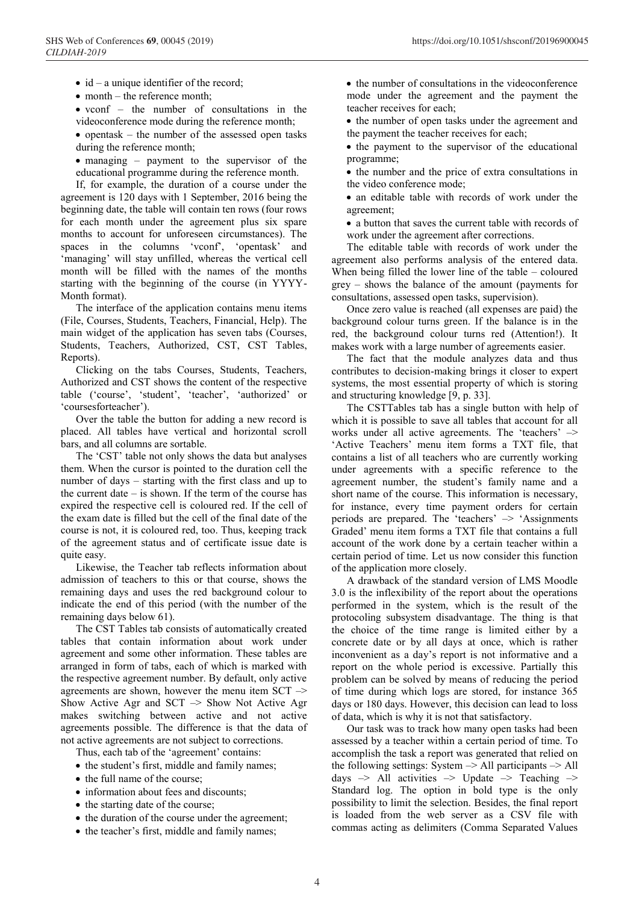- id a unique identifier of the record;
- month the reference month;
- vconf the number of consultations in the videoconference mode during the reference month;
- $\bullet$  opentask the number of the assessed open tasks during the reference month;
- managing payment to the supervisor of the educational programme during the reference month.

If, for example, the duration of a course under the agreement is 120 days with 1 September, 2016 being the beginning date, the table will contain ten rows (four rows for each month under the agreement plus six spare months to account for unforeseen circumstances). The spaces in the columns 'vconf', 'opentask' and 'managing' will stay unfilled, whereas the vertical cell month will be filled with the names of the months starting with the beginning of the course (in YYYY-Month format).

The interface of the application contains menu items (File, Courses, Students, Teachers, Financial, Help). The main widget of the application has seven tabs (Courses, Students, Teachers, Authorized, CST, CST Tables, Reports).

Clicking on the tabs Courses, Students, Teachers, Authorized and CST shows the content of the respective table ('course', 'student', 'teacher', 'authorized' or 'coursesforteacher').

Over the table the button for adding a new record is placed. All tables have vertical and horizontal scroll bars, and all columns are sortable.

The 'CST' table not only shows the data but analyses them. When the cursor is pointed to the duration cell the number of days – starting with the first class and up to the current date – is shown. If the term of the course has expired the respective cell is coloured red. If the cell of the exam date is filled but the cell of the final date of the course is not, it is coloured red, too. Thus, keeping track of the agreement status and of certificate issue date is quite easy.

Likewise, the Teacher tab reflects information about admission of teachers to this or that course, shows the remaining days and uses the red background colour to indicate the end of this period (with the number of the remaining days below 61).

The CST Tables tab consists of automatically created tables that contain information about work under agreement and some other information. These tables are arranged in form of tabs, each of which is marked with the respective agreement number. By default, only active agreements are shown, however the menu item  $SCT \rightarrow$ Show Active Agr and  $SCT \rightarrow$  Show Not Active Agr makes switching between active and not active agreements possible. The difference is that the data of not active agreements are not subject to corrections.

Thus, each tab of the 'agreement' contains:

- the student's first, middle and family names;
- the full name of the course;
- information about fees and discounts;
- $\bullet$  the starting date of the course:
- the duration of the course under the agreement;
- the teacher's first, middle and family names;

• the number of consultations in the videoconference mode under the agreement and the payment the teacher receives for each;

• the number of open tasks under the agreement and the payment the teacher receives for each;

• the payment to the supervisor of the educational programme;

• the number and the price of extra consultations in the video conference mode;

• an editable table with records of work under the agreement;

• a button that saves the current table with records of work under the agreement after corrections.

The editable table with records of work under the agreement also performs analysis of the entered data. When being filled the lower line of the table – coloured grey – shows the balance of the amount (payments for consultations, assessed open tasks, supervision).

Once zero value is reached (all expenses are paid) the background colour turns green. If the balance is in the red, the background colour turns red (Attention!). It makes work with a large number of agreements easier.

The fact that the module analyzes data and thus contributes to decision-making brings it closer to expert systems, the most essential property of which is storing and structuring knowledge [9, p. 33].

The CSTTables tab has a single button with help of which it is possible to save all tables that account for all works under all active agreements. The 'teachers' –> 'Active Teachers' menu item forms a TXT file, that contains a list of all teachers who are currently working under agreements with a specific reference to the agreement number, the student's family name and a short name of the course. This information is necessary, for instance, every time payment orders for certain periods are prepared. The 'teachers'  $\rightarrow$  'Assignments' Graded' menu item forms a TXT file that contains a full account of the work done by a certain teacher within a certain period of time. Let us now consider this function of the application more closely.

A drawback of the standard version of LMS Moodle 3.0 is the inflexibility of the report about the operations performed in the system, which is the result of the protocoling subsystem disadvantage. The thing is that the choice of the time range is limited either by a concrete date or by all days at once, which is rather inconvenient as a day's report is not informative and a report on the whole period is excessive. Partially this problem can be solved by means of reducing the period of time during which logs are stored, for instance 365 days or 180 days. However, this decision can lead to loss of data, which is why it is not that satisfactory.

Our task was to track how many open tasks had been assessed by a teacher within a certain period of time. To accomplish the task a report was generated that relied on the following settings: System  $\rightarrow$  All participants  $\rightarrow$  All days  $\rightarrow$  All activities  $\rightarrow$  Update  $\rightarrow$  Teaching  $\rightarrow$ Standard log. The option in bold type is the only possibility to limit the selection. Besides, the final report is loaded from the web server as a CSV file with commas acting as delimiters (Comma Separated Values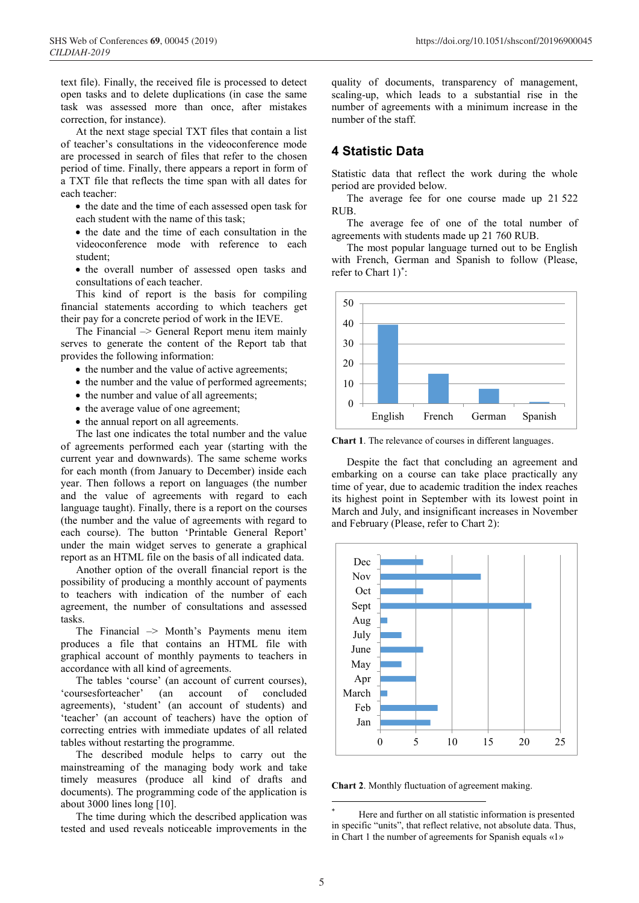text file). Finally, the received file is processed to detect open tasks and to delete duplications (in case the same task was assessed more than once, after mistakes correction, for instance).

At the next stage special TXT files that contain a list of teacher's consultations in the videoconference mode are processed in search of files that refer to the chosen period of time. Finally, there appears a report in form of a TXT file that reflects the time span with all dates for each teacher:

- the date and the time of each assessed open task for each student with the name of this task;
- $\bullet$  the date and the time of each consultation in the videoconference mode with reference to each student;
- the overall number of assessed open tasks and consultations of each teacher.

This kind of report is the basis for compiling financial statements according to which teachers get their pay for a concrete period of work in the IEVE.

The Financial –> General Report menu item mainly serves to generate the content of the Report tab that provides the following information:

- the number and the value of active agreements;
- the number and the value of performed agreements;
- the number and value of all agreements;
- the average value of one agreement:
- the annual report on all agreements.

The last one indicates the total number and the value of agreements performed each year (starting with the current year and downwards). The same scheme works for each month (from January to December) inside each year. Then follows a report on languages (the number and the value of agreements with regard to each language taught). Finally, there is a report on the courses (the number and the value of agreements with regard to each course). The button 'Printable General Report' under the main widget serves to generate a graphical report as an HTML file on the basis of all indicated data.

Another option of the overall financial report is the possibility of producing a monthly account of payments to teachers with indication of the number of each agreement, the number of consultations and assessed tasks.

The Financial  $\rightarrow$  Month's Payments menu item produces a file that contains an HTML file with graphical account of monthly payments to teachers in accordance with all kind of agreements.

The tables 'course' (an account of current courses), 'coursesforteacher' (an account of concluded agreements), 'student' (an account of students) and 'teacher' (an account of teachers) have the option of correcting entries with immediate updates of all related tables without restarting the programme.

The described module helps to carry out the mainstreaming of the managing body work and take timely measures (produce all kind of drafts and documents). The programming code of the application is about 3000 lines long [10].

The time during which the described application was tested and used reveals noticeable improvements in the

quality of documents, transparency of management, scaling-up, which leads to a substantial rise in the number of agreements with a minimum increase in the number of the staff.

#### **4 Statistic Data**

Statistic data that reflect the work during the whole period are provided below.

The average fee for one course made up 21 522 RUB.

The average fee of one of the total number of agreements with students made up 21 760 RUB.

The most popular language turned out to be English with French, German and Spanish to follow (Please, refer to Chart 1)\* :



**Chart 1**. The relevance of courses in different languages.

Despite the fact that concluding an agreement and embarking on a course can take place practically any time of year, due to academic tradition the index reaches its highest point in September with its lowest point in March and July, and insignificant increases in November and February (Please, refer to Chart 2):



**Chart 2**. Monthly fluctuation of agreement making.

Here and further on all statistic information is presented in specific "units", that reflect relative, not absolute data. Thus, in Chart 1 the number of agreements for Spanish equals «1»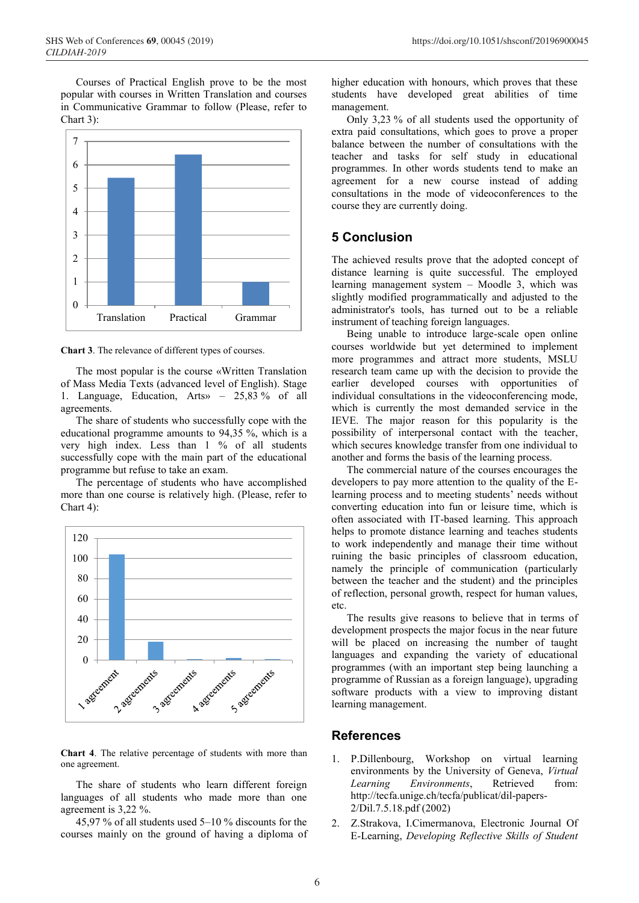SHS Web of Conferences **69**, 00045 (2019) https://doi.org/10.1051/shsconf/20196900045

Courses of Practical English prove to be the most popular with courses in Written Translation and courses in Communicative Grammar to follow (Please, refer to Chart 3):



**Chart 3**. The relevance of different types of courses.

The most popular is the course «Written Translation of Mass Media Texts (advanced level of English). Stage 1. Language, Education, Arts» – 25,83 % of all agreements.

The share of students who successfully cope with the educational programme amounts to 94,35 %, which is a very high index. Less than 1 % of all students successfully cope with the main part of the educational programme but refuse to take an exam.

The percentage of students who have accomplished more than one course is relatively high. (Please, refer to Chart 4):



**Chart 4**. The relative percentage of students with more than one agreement.

The share of students who learn different foreign languages of all students who made more than one agreement is 3,22 %.

45,97 % of all students used 5–10 % discounts for the courses mainly on the ground of having a diploma of higher education with honours, which proves that these students have developed great abilities of time management.

Only 3,23 % of all students used the opportunity of extra paid consultations, which goes to prove a proper balance between the number of consultations with the teacher and tasks for self study in educational programmes. In other words students tend to make an agreement for a new course instead of adding consultations in the mode of videoconferences to the course they are currently doing.

### **5 Conclusion**

The achieved results prove that the adopted concept of distance learning is quite successful. The employed learning management system – Moodle 3, which was slightly modified programmatically and adjusted to the administrator's tools, has turned out to be a reliable instrument of teaching foreign languages.

Being unable to introduce large-scale open online courses worldwide but yet determined to implement more programmes and attract more students, MSLU research team came up with the decision to provide the earlier developed courses with opportunities of individual consultations in the videoconferencing mode, which is currently the most demanded service in the IEVE. The major reason for this popularity is the possibility of interpersonal contact with the teacher, which secures knowledge transfer from one individual to another and forms the basis of the learning process.

The commercial nature of the courses encourages the developers to pay more attention to the quality of the Elearning process and to meeting students' needs without converting education into fun or leisure time, which is often associated with IT-based learning. This approach helps to promote distance learning and teaches students to work independently and manage their time without ruining the basic principles of classroom education, namely the principle of communication (particularly between the teacher and the student) and the principles of reflection, personal growth, respect for human values, etc.

The results give reasons to believe that in terms of development prospects the major focus in the near future will be placed on increasing the number of taught languages and expanding the variety of educational programmes (with an important step being launching a programme of Russian as a foreign language), upgrading software products with a view to improving distant learning management.

#### **References**

- 1. P.Dillenbourg, Workshop on virtual learning environments by the University of Geneva, *Virtual Learning Environments*, Retrieved from: http://tecfa.unige.ch/tecfa/publicat/dil-papers-2/Dil.7.5.18.pdf (2002)
- 2. Z.Strakova, I.Cimermanova, Electronic Journal Of E-Learning, *Developing Reflective Skills of Student*